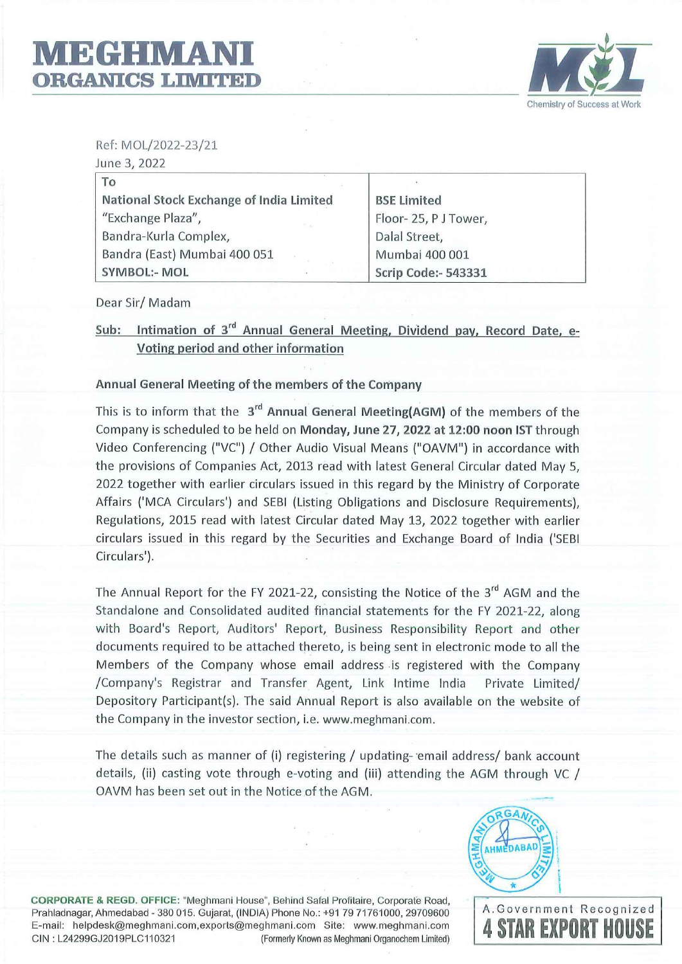

Ref: MOL/2022-23/21

| June 3, 2022                             |                            |  |
|------------------------------------------|----------------------------|--|
| To                                       |                            |  |
| National Stock Exchange of India Limited | <b>BSE Limited</b>         |  |
| "Exchange Plaza",<br><b>FP 43</b>        | Floor-25, PJ Tower,        |  |
| Bandra-Kurla Complex,                    | Dalal Street,              |  |
| Bandra (East) Mumbai 400 051             | Mumbai 400 001             |  |
| <b>SYMBOL:- MOL</b>                      | <b>Scrip Code:- 543331</b> |  |

Dear Sir/ Madam

Sub: Intimation of 3<sup>rd</sup> Annual General Meeting, Dividend pay, Record Date, e-**Voting period and other information** 

**Annual General Meeting of the members of the Company** 

This is to inform that the **3rd Annual General Meeting(AGM)** of the members of the Company is scheduled to be held on **Monday, June 27, 2022 at 12:00 noon 1ST** through Video Conferencing ("VC"} / Other Audio Visual Means ("OAVM"} in accordance with the provisions of Companies Act, 2013 read with latest General Circular dated May 5, 2022 together with earlier circulars issued in this regard by the Ministry of Corporate Affairs ('MCA Circulars') and SEBI (Listing Obligations and Disclosure Requirements), Regulations, 2015 read with latest Circular dated May 13, 2022 together with earlier circulars issued in this regard by the Securities and Exchange Board of India ('SEBI Circulars').

The Annual Report for the FY 2021-22, consisting the Notice of the  $3^{rd}$  AGM and the Standalone and Consolidated audited financial statements for the FY 2021-22, along with Board's Report, Auditors' Report, Business Responsibility Report and other documents required to be attached thereto, is being sent in electronic mode to all the Members of the Company whose email address is registered with the Company /Company's Registrar and Transfer Agent, Link lntime India Private Limited/ Depository Participant(s). The said Annual Report is also available on the website of the Company in the investor section, i.e. www.meghmani.com.

The details such as manner of (i) registering / updating- email address/ bank account details, (ii) casting vote through e-voting and (iii) attending the AGM through VC / OAVM has been set out in the Notice of the AGM.



**CORPORATE & REGO. OFFICE:** "Meghmani House", Behind Safal Profitaire, Corporate Road, Prahladnagar, Ahmedabad - 380 015. Gujarat, (INDIA) Phone No.: +91 79 71761000, 29709600 E-mail: helpdesk@meghmani.com,exports@meghmani.com Site: www.meghmani.com CIN : L24299GJ2019PLC110321 (Formerly Known as Meghmani Organochem Limited)